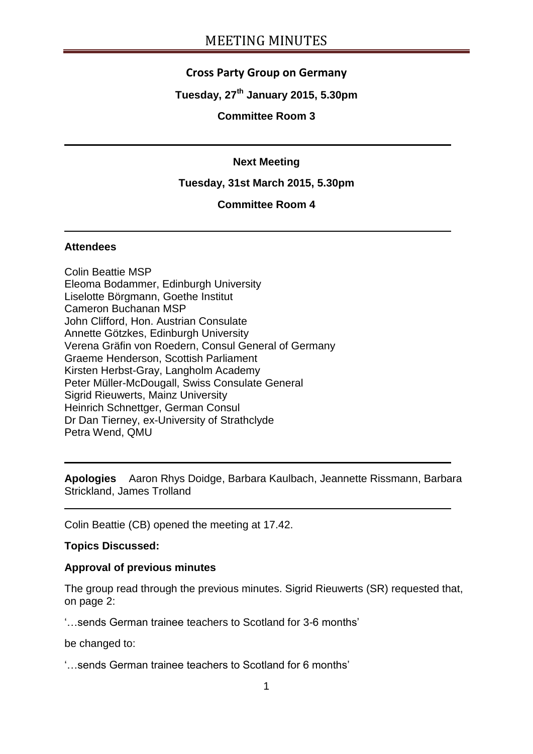## **Cross Party Group on Germany**

## **Tuesday, 27th January 2015, 5.30pm**

### **Committee Room 3**

### **Next Meeting**

### **Tuesday, 31st March 2015, 5.30pm**

## **Committee Room 4**

#### **Attendees**

Colin Beattie MSP Eleoma Bodammer, Edinburgh University Liselotte Börgmann, Goethe Institut Cameron Buchanan MSP John Clifford, Hon. Austrian Consulate Annette Götzkes, Edinburgh University Verena Gräfin von Roedern, Consul General of Germany Graeme Henderson, Scottish Parliament Kirsten Herbst-Gray, Langholm Academy Peter Müller-McDougall, Swiss Consulate General Sigrid Rieuwerts, Mainz University Heinrich Schnettger, German Consul Dr Dan Tierney, ex-University of Strathclyde Petra Wend, QMU

**Apologies** Aaron Rhys Doidge, Barbara Kaulbach, Jeannette Rissmann, Barbara Strickland, James Trolland

Colin Beattie (CB) opened the meeting at 17.42.

### **Topics Discussed:**

#### **Approval of previous minutes**

The group read through the previous minutes. Sigrid Rieuwerts (SR) requested that, on page 2:

'…sends German trainee teachers to Scotland for 3-6 months'

be changed to:

'…sends German trainee teachers to Scotland for 6 months'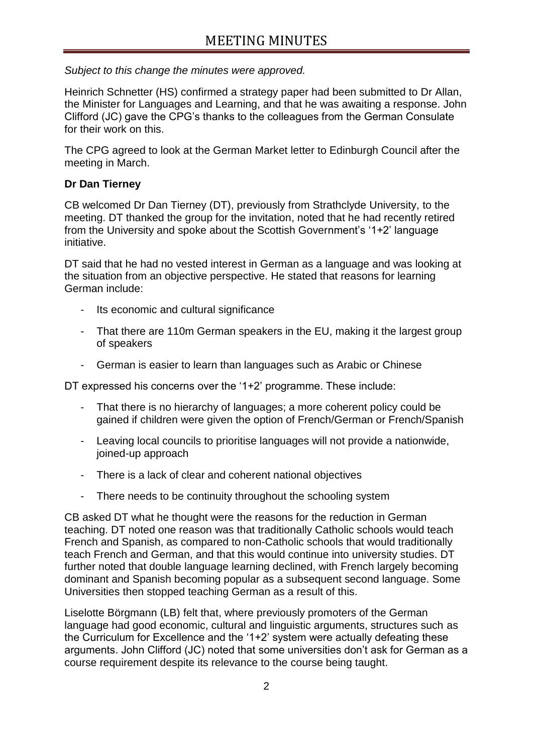*Subject to this change the minutes were approved.*

Heinrich Schnetter (HS) confirmed a strategy paper had been submitted to Dr Allan, the Minister for Languages and Learning, and that he was awaiting a response. John Clifford (JC) gave the CPG's thanks to the colleagues from the German Consulate for their work on this.

The CPG agreed to look at the German Market letter to Edinburgh Council after the meeting in March.

## **Dr Dan Tierney**

CB welcomed Dr Dan Tierney (DT), previously from Strathclyde University, to the meeting. DT thanked the group for the invitation, noted that he had recently retired from the University and spoke about the Scottish Government's '1+2' language initiative.

DT said that he had no vested interest in German as a language and was looking at the situation from an objective perspective. He stated that reasons for learning German include:

- Its economic and cultural significance
- That there are 110m German speakers in the EU, making it the largest group of speakers
- German is easier to learn than languages such as Arabic or Chinese

DT expressed his concerns over the '1+2' programme. These include:

- That there is no hierarchy of languages; a more coherent policy could be gained if children were given the option of French/German or French/Spanish
- Leaving local councils to prioritise languages will not provide a nationwide, joined-up approach
- There is a lack of clear and coherent national objectives
- There needs to be continuity throughout the schooling system

CB asked DT what he thought were the reasons for the reduction in German teaching. DT noted one reason was that traditionally Catholic schools would teach French and Spanish, as compared to non-Catholic schools that would traditionally teach French and German, and that this would continue into university studies. DT further noted that double language learning declined, with French largely becoming dominant and Spanish becoming popular as a subsequent second language. Some Universities then stopped teaching German as a result of this.

Liselotte Börgmann (LB) felt that, where previously promoters of the German language had good economic, cultural and linguistic arguments, structures such as the Curriculum for Excellence and the '1+2' system were actually defeating these arguments. John Clifford (JC) noted that some universities don't ask for German as a course requirement despite its relevance to the course being taught.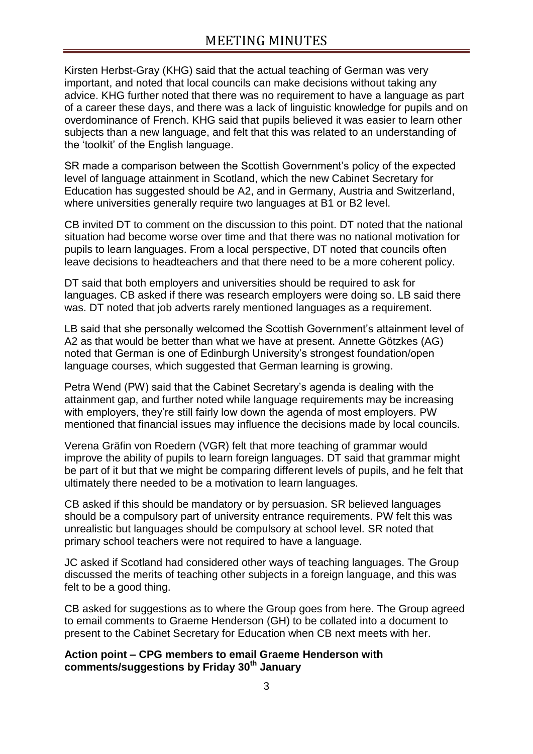Kirsten Herbst-Gray (KHG) said that the actual teaching of German was very important, and noted that local councils can make decisions without taking any advice. KHG further noted that there was no requirement to have a language as part of a career these days, and there was a lack of linguistic knowledge for pupils and on overdominance of French. KHG said that pupils believed it was easier to learn other subjects than a new language, and felt that this was related to an understanding of the 'toolkit' of the English language.

SR made a comparison between the Scottish Government's policy of the expected level of language attainment in Scotland, which the new Cabinet Secretary for Education has suggested should be A2, and in Germany, Austria and Switzerland, where universities generally require two languages at B1 or B2 level.

CB invited DT to comment on the discussion to this point. DT noted that the national situation had become worse over time and that there was no national motivation for pupils to learn languages. From a local perspective, DT noted that councils often leave decisions to headteachers and that there need to be a more coherent policy.

DT said that both employers and universities should be required to ask for languages. CB asked if there was research employers were doing so. LB said there was. DT noted that job adverts rarely mentioned languages as a requirement.

LB said that she personally welcomed the Scottish Government's attainment level of A2 as that would be better than what we have at present. Annette Götzkes (AG) noted that German is one of Edinburgh University's strongest foundation/open language courses, which suggested that German learning is growing.

Petra Wend (PW) said that the Cabinet Secretary's agenda is dealing with the attainment gap, and further noted while language requirements may be increasing with employers, they're still fairly low down the agenda of most employers. PW mentioned that financial issues may influence the decisions made by local councils.

Verena Gräfin von Roedern (VGR) felt that more teaching of grammar would improve the ability of pupils to learn foreign languages. DT said that grammar might be part of it but that we might be comparing different levels of pupils, and he felt that ultimately there needed to be a motivation to learn languages.

CB asked if this should be mandatory or by persuasion. SR believed languages should be a compulsory part of university entrance requirements. PW felt this was unrealistic but languages should be compulsory at school level. SR noted that primary school teachers were not required to have a language.

JC asked if Scotland had considered other ways of teaching languages. The Group discussed the merits of teaching other subjects in a foreign language, and this was felt to be a good thing.

CB asked for suggestions as to where the Group goes from here. The Group agreed to email comments to Graeme Henderson (GH) to be collated into a document to present to the Cabinet Secretary for Education when CB next meets with her.

## **Action point – CPG members to email Graeme Henderson with comments/suggestions by Friday 30th January**